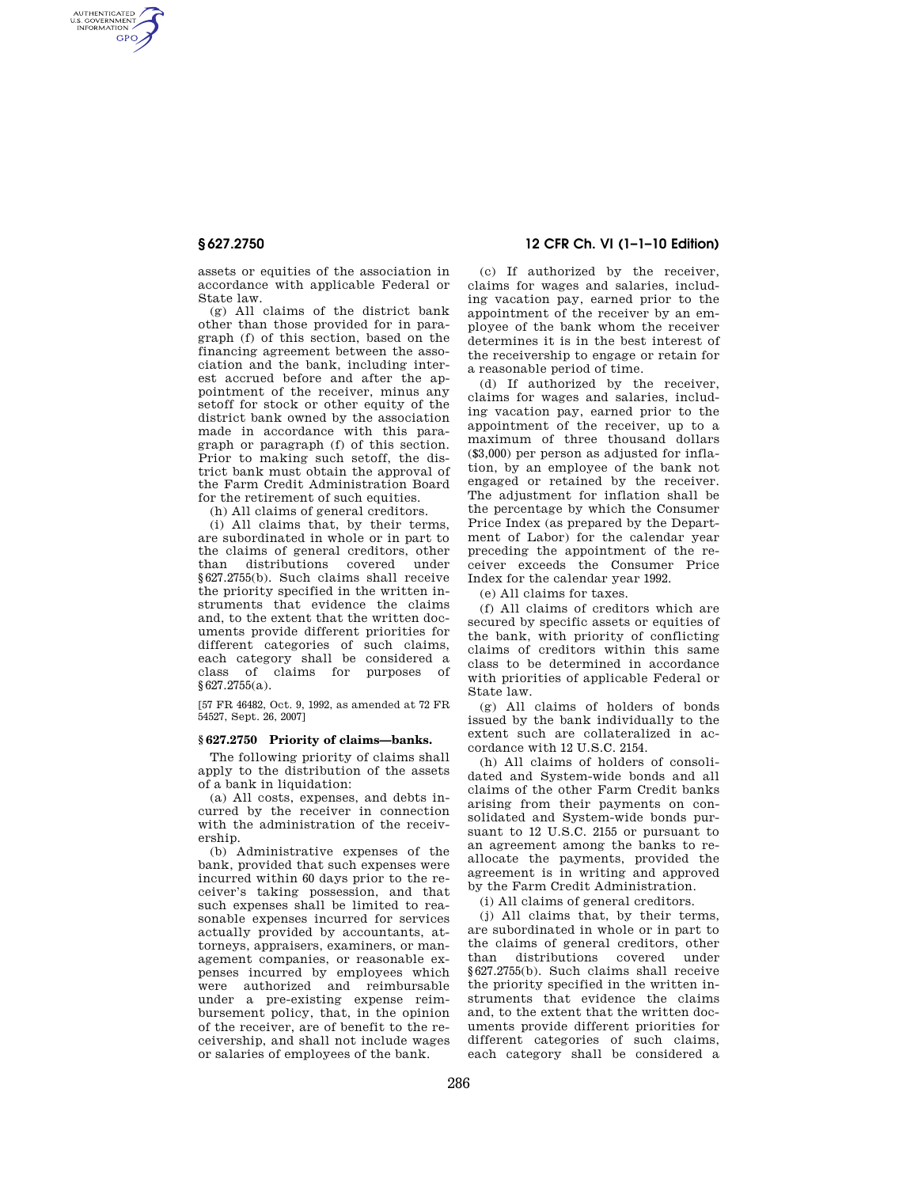AUTHENTICATED<br>U.S. GOVERNMENT<br>INFORMATION **GPO** 

> assets or equities of the association in accordance with applicable Federal or State law.

> (g) All claims of the district bank other than those provided for in paragraph (f) of this section, based on the financing agreement between the association and the bank, including interest accrued before and after the appointment of the receiver, minus any setoff for stock or other equity of the district bank owned by the association made in accordance with this paragraph or paragraph (f) of this section. Prior to making such setoff, the district bank must obtain the approval of the Farm Credit Administration Board for the retirement of such equities.

(h) All claims of general creditors.

(i) All claims that, by their terms, are subordinated in whole or in part to the claims of general creditors, other than distributions covered under §627.2755(b). Such claims shall receive the priority specified in the written instruments that evidence the claims and, to the extent that the written documents provide different priorities for different categories of such claims, each category shall be considered a class of claims for purposes of §627.2755(a).

[57 FR 46482, Oct. 9, 1992, as amended at 72 FR 54527, Sept. 26, 2007]

### **§ 627.2750 Priority of claims—banks.**

The following priority of claims shall apply to the distribution of the assets of a bank in liquidation:

(a) All costs, expenses, and debts incurred by the receiver in connection with the administration of the receivership.

(b) Administrative expenses of the bank, provided that such expenses were incurred within 60 days prior to the receiver's taking possession, and that such expenses shall be limited to reasonable expenses incurred for services actually provided by accountants, attorneys, appraisers, examiners, or management companies, or reasonable expenses incurred by employees which were authorized and reimbursable under a pre-existing expense reimbursement policy, that, in the opinion of the receiver, are of benefit to the receivership, and shall not include wages or salaries of employees of the bank.

## **§ 627.2750 12 CFR Ch. VI (1–1–10 Edition)**

(c) If authorized by the receiver, claims for wages and salaries, including vacation pay, earned prior to the appointment of the receiver by an employee of the bank whom the receiver determines it is in the best interest of the receivership to engage or retain for a reasonable period of time.

(d) If authorized by the receiver, claims for wages and salaries, including vacation pay, earned prior to the appointment of the receiver, up to a maximum of three thousand dollars (\$3,000) per person as adjusted for inflation, by an employee of the bank not engaged or retained by the receiver. The adjustment for inflation shall be the percentage by which the Consumer Price Index (as prepared by the Department of Labor) for the calendar year preceding the appointment of the receiver exceeds the Consumer Price Index for the calendar year 1992.

(e) All claims for taxes.

(f) All claims of creditors which are secured by specific assets or equities of the bank, with priority of conflicting claims of creditors within this same class to be determined in accordance with priorities of applicable Federal or State law.

(g) All claims of holders of bonds issued by the bank individually to the extent such are collateralized in accordance with 12 U.S.C. 2154.

(h) All claims of holders of consolidated and System-wide bonds and all claims of the other Farm Credit banks arising from their payments on consolidated and System-wide bonds pursuant to 12 U.S.C. 2155 or pursuant to an agreement among the banks to reallocate the payments, provided the agreement is in writing and approved by the Farm Credit Administration.

(i) All claims of general creditors.

(j) All claims that, by their terms, are subordinated in whole or in part to the claims of general creditors, other than distributions covered under §627.2755(b). Such claims shall receive the priority specified in the written instruments that evidence the claims and, to the extent that the written documents provide different priorities for different categories of such claims, each category shall be considered a